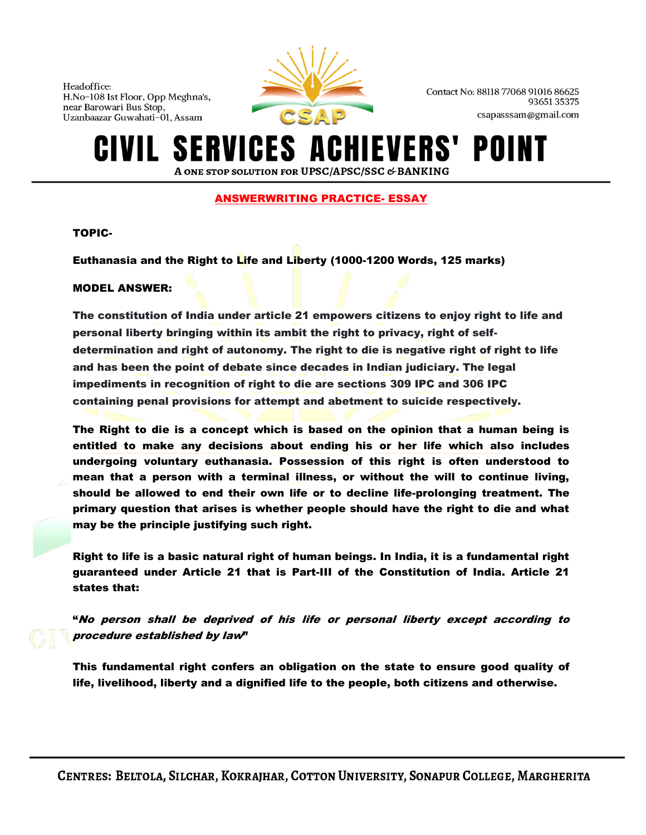

Contact No: 88118 77068 91016 86625 9365135375 csapasssam@gmail.com

### **SERVICES A IEVERS'** POI A ONE STOP SOLUTION FOR UPSC/APSC/SSC & BANKING

# ANSWERWRITING PRACTICE- ESSAY

## TOPIC-

Euthanasia and the Right to Life and Liberty (1000-1200 Words, 125 marks)

## MODEL ANSWER:

The constitution of India under article 21 empowers citizens to enjoy right to life and personal liberty bringing within its ambit the right to privacy, right of selfdetermination and right of autonomy. The right to die is negative right of right to life and has been the point of debate since decades in Indian judiciary. The legal impediments in recognition of right to die are sections 309 IPC and 306 IPC containing penal provisions for attempt and abetment to suicide respectively.

The Right to die is a concept which is based on the opinion that a human being is entitled to make any decisions about ending his or her life which also includes undergoing voluntary euthanasia. Possession of this right is often understood to mean that a person with a terminal illness, or without the will to continue living, should be allowed to end their own life or to decline life-prolonging treatment. The primary question that arises is whether people should have the right to die and what may be the principle justifying such right.

Right to life is a basic natural right of human beings. In India, it is a fundamental right guaranteed under Article 21 that is Part-III of the Constitution of India. Article 21 states that:

"No person shall be deprived of his life or personal liberty except according to procedure established by law"

This fundamental right confers an obligation on the state to ensure good quality of life, livelihood, liberty and a dignified life to the people, both citizens and otherwise.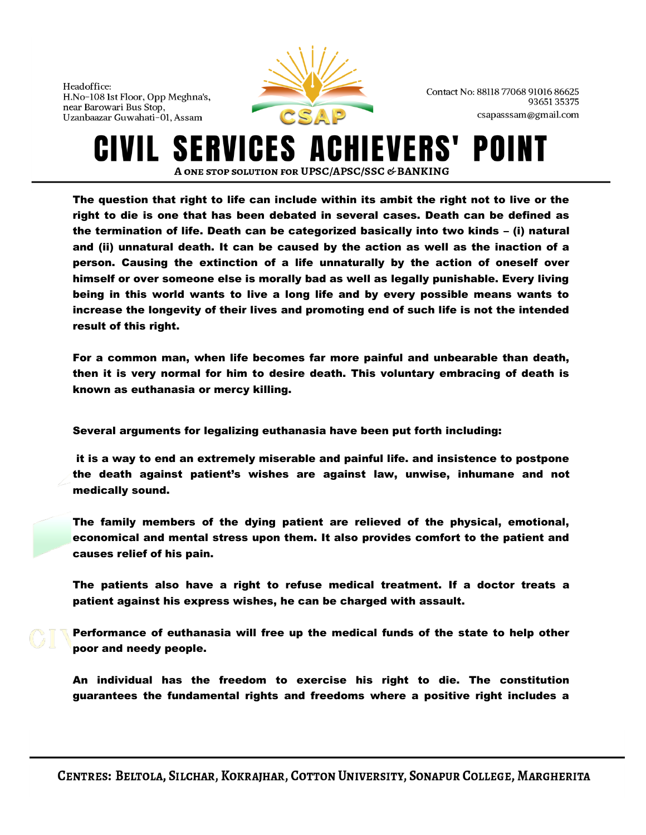

Contact No: 88118 77068 91016 86625 9365135375 csapasssam@gmail.com

**SERVICES ACHIEVERS'** POI A ONE STOP SOLUTION FOR UPSC/APSC/SSC & BANKING

The question that right to life can include within its ambit the right not to live or the right to die is one that has been debated in several cases. Death can be defined as the termination of life. Death can be categorized basically into two kinds – (i) natural and (ii) unnatural death. It can be caused by the action as well as the inaction of a person. Causing the extinction of a life unnaturally by the action of oneself over himself or over someone else is morally bad as well as legally punishable. Every living being in this world wants to live a long life and by every possible means wants to increase the longevity of their lives and promoting end of such life is not the intended result of this right.

For a common man, when life becomes far more painful and unbearable than death, then it is very normal for him to desire death. This voluntary embracing of death is known as euthanasia or mercy killing.

Several arguments for legalizing euthanasia have been put forth including:

it is a way to end an extremely miserable and painful life. and insistence to postpone the death against patient's wishes are against law, unwise, inhumane and not medically sound.

The family members of the dying patient are relieved of the physical, emotional, economical and mental stress upon them. It also provides comfort to the patient and causes relief of his pain.

The patients also have a right to refuse medical treatment. If a doctor treats a patient against his express wishes, he can be charged with assault.

Performance of euthanasia will free up the medical funds of the state to help other poor and needy people.

An individual has the freedom to exercise his right to die. The constitution guarantees the fundamental rights and freedoms where a positive right includes a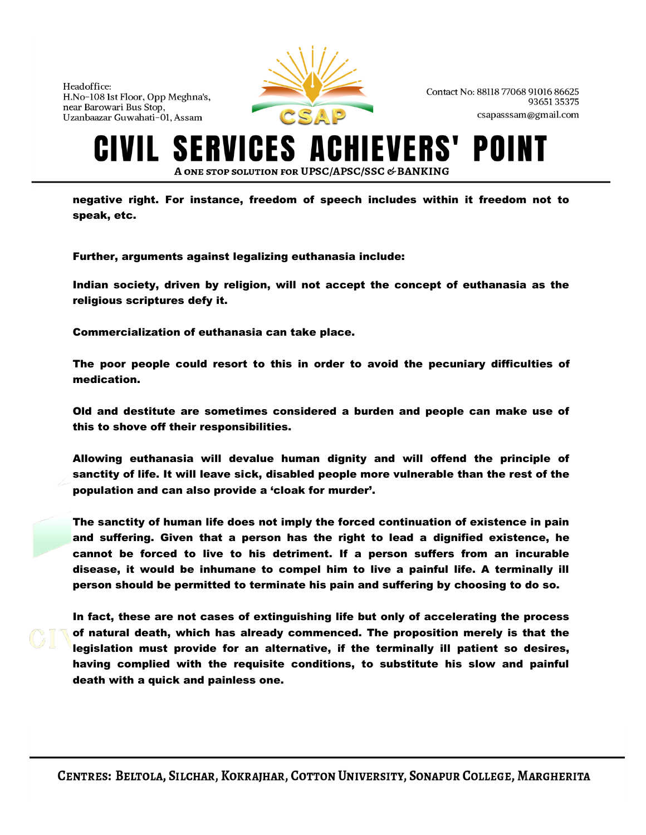

Contact No: 88118 77068 91016 86625 9365135375 csapasssam@gmail.com

#### **S** ERVICES A **IEVERS'** A ONE STOP SOLUTION FOR UPSC/APSC/SSC & BANKING

negative right. For instance, freedom of speech includes within it freedom not to speak, etc.

Further, arguments against legalizing euthanasia include:

Indian society, driven by religion, will not accept the concept of euthanasia as the religious scriptures defy it.

Commercialization of euthanasia can take place.

The poor people could resort to this in order to avoid the pecuniary difficulties of medication.

Old and destitute are sometimes considered a burden and people can make use of this to shove off their responsibilities.

Allowing euthanasia will devalue human dignity and will offend the principle of sanctity of life. It will leave sick, disabled people more vulnerable than the rest of the population and can also provide a 'cloak for murder'.

The sanctity of human life does not imply the forced continuation of existence in pain and suffering. Given that a person has the right to lead a dignified existence, he cannot be forced to live to his detriment. If a person suffers from an incurable disease, it would be inhumane to compel him to live a painful life. A terminally ill person should be permitted to terminate his pain and suffering by choosing to do so.

In fact, these are not cases of extinguishing life but only of accelerating the process of natural death, which has already commenced. The proposition merely is that the legislation must provide for an alternative, if the terminally ill patient so desires, having complied with the requisite conditions, to substitute his slow and painful death with a quick and painless one.